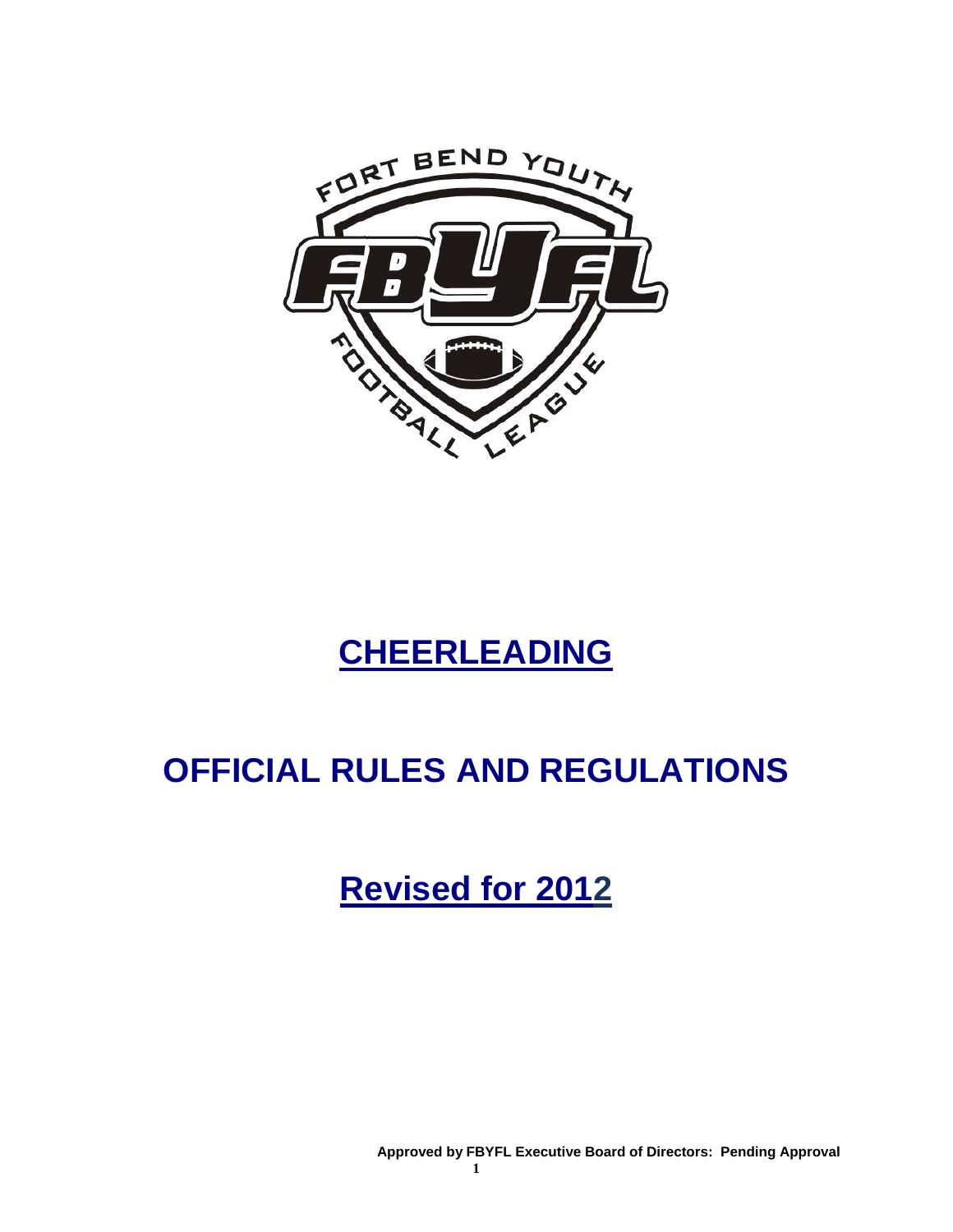

# **CHEERLEADING**

# **OFFICIAL RULES AND REGULATIONS**

**Revised for 2012**

**Approved by FBYFL Executive Board of Directors: Pending Approval**

**1**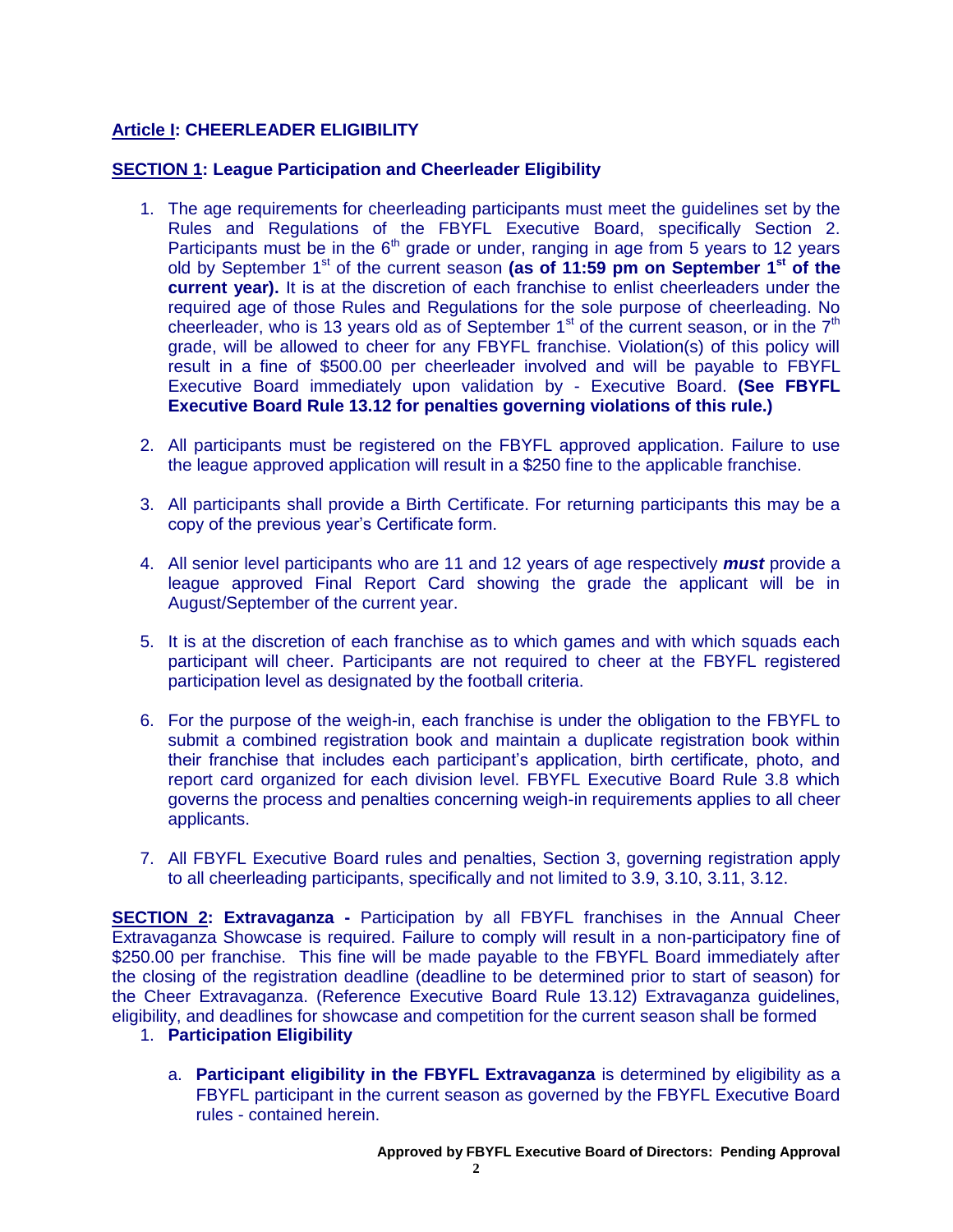# **Article I: CHEERLEADER ELIGIBILITY**

# **SECTION 1: League Participation and Cheerleader Eligibility**

- 1. The age requirements for cheerleading participants must meet the guidelines set by the Rules and Regulations of the FBYFL Executive Board, specifically Section 2. Participants must be in the 6<sup>th</sup> grade or under, ranging in age from 5 years to 12 years old by September 1st of the current season **(as of 11:59 pm on September 1st of the current year).** It is at the discretion of each franchise to enlist cheerleaders under the required age of those Rules and Regulations for the sole purpose of cheerleading. No cheerleader, who is 13 years old as of September  $1<sup>st</sup>$  of the current season, or in the  $7<sup>th</sup>$ grade, will be allowed to cheer for any FBYFL franchise. Violation(s) of this policy will result in a fine of \$500.00 per cheerleader involved and will be payable to FBYFL Executive Board immediately upon validation by - Executive Board. **(See FBYFL Executive Board Rule 13.12 for penalties governing violations of this rule.)**
- 2. All participants must be registered on the FBYFL approved application. Failure to use the league approved application will result in a \$250 fine to the applicable franchise.
- 3. All participants shall provide a Birth Certificate. For returning participants this may be a copy of the previous year's Certificate form.
- 4. All senior level participants who are 11 and 12 years of age respectively *must* provide a league approved Final Report Card showing the grade the applicant will be in August/September of the current year.
- 5. It is at the discretion of each franchise as to which games and with which squads each participant will cheer. Participants are not required to cheer at the FBYFL registered participation level as designated by the football criteria.
- 6. For the purpose of the weigh-in, each franchise is under the obligation to the FBYFL to submit a combined registration book and maintain a duplicate registration book within their franchise that includes each participant's application, birth certificate, photo, and report card organized for each division level. FBYFL Executive Board Rule 3.8 which governs the process and penalties concerning weigh-in requirements applies to all cheer applicants.
- 7. All FBYFL Executive Board rules and penalties, Section 3, governing registration apply to all cheerleading participants, specifically and not limited to 3.9, 3.10, 3.11, 3.12.

**SECTION 2: Extravaganza -** Participation by all FBYFL franchises in the Annual Cheer Extravaganza Showcase is required. Failure to comply will result in a non-participatory fine of \$250.00 per franchise. This fine will be made payable to the FBYFL Board immediately after the closing of the registration deadline (deadline to be determined prior to start of season) for the Cheer Extravaganza. (Reference Executive Board Rule 13.12) Extravaganza guidelines, eligibility, and deadlines for showcase and competition for the current season shall be formed

## 1. **Participation Eligibility**

a. **Participant eligibility in the FBYFL Extravaganza** is determined by eligibility as a FBYFL participant in the current season as governed by the FBYFL Executive Board rules - contained herein.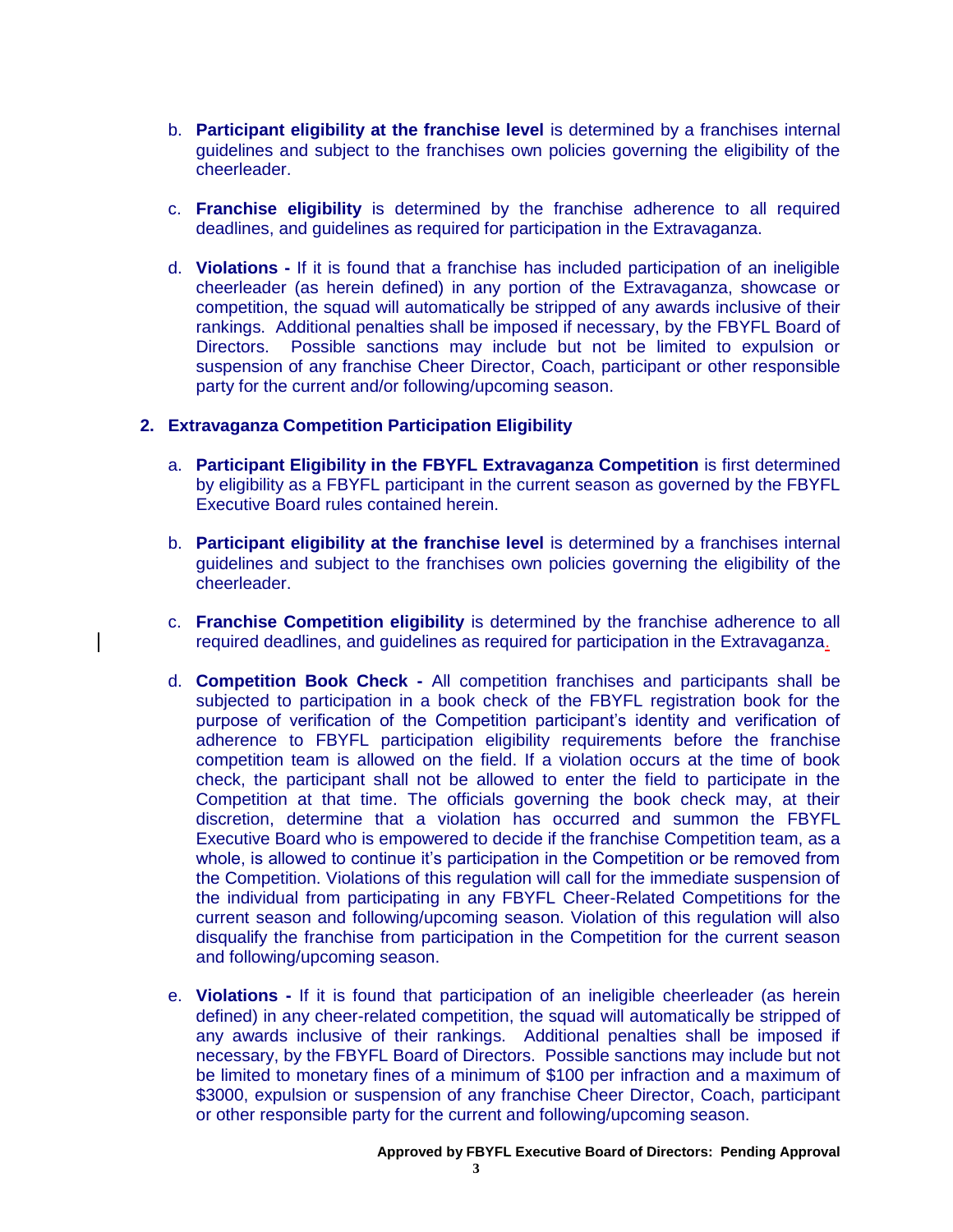- b. **Participant eligibility at the franchise level** is determined by a franchises internal guidelines and subject to the franchises own policies governing the eligibility of the cheerleader.
- c. **Franchise eligibility** is determined by the franchise adherence to all required deadlines, and guidelines as required for participation in the Extravaganza.
- d. **Violations -** If it is found that a franchise has included participation of an ineligible cheerleader (as herein defined) in any portion of the Extravaganza, showcase or competition, the squad will automatically be stripped of any awards inclusive of their rankings. Additional penalties shall be imposed if necessary, by the FBYFL Board of Directors. Possible sanctions may include but not be limited to expulsion or suspension of any franchise Cheer Director, Coach, participant or other responsible party for the current and/or following/upcoming season.

### **2. Extravaganza Competition Participation Eligibility**

- a. **Participant Eligibility in the FBYFL Extravaganza Competition** is first determined by eligibility as a FBYFL participant in the current season as governed by the FBYFL Executive Board rules contained herein.
- b. **Participant eligibility at the franchise level** is determined by a franchises internal guidelines and subject to the franchises own policies governing the eligibility of the cheerleader.
- c. **Franchise Competition eligibility** is determined by the franchise adherence to all required deadlines, and guidelines as required for participation in the Extravaganza.
- d. **Competition Book Check -** All competition franchises and participants shall be subjected to participation in a book check of the FBYFL registration book for the purpose of verification of the Competition participant's identity and verification of adherence to FBYFL participation eligibility requirements before the franchise competition team is allowed on the field. If a violation occurs at the time of book check, the participant shall not be allowed to enter the field to participate in the Competition at that time. The officials governing the book check may, at their discretion, determine that a violation has occurred and summon the FBYFL Executive Board who is empowered to decide if the franchise Competition team, as a whole, is allowed to continue it's participation in the Competition or be removed from the Competition. Violations of this regulation will call for the immediate suspension of the individual from participating in any FBYFL Cheer-Related Competitions for the current season and following/upcoming season. Violation of this regulation will also disqualify the franchise from participation in the Competition for the current season and following/upcoming season.
- e. **Violations -** If it is found that participation of an ineligible cheerleader (as herein defined) in any cheer-related competition, the squad will automatically be stripped of any awards inclusive of their rankings. Additional penalties shall be imposed if necessary, by the FBYFL Board of Directors. Possible sanctions may include but not be limited to monetary fines of a minimum of \$100 per infraction and a maximum of \$3000, expulsion or suspension of any franchise Cheer Director, Coach, participant or other responsible party for the current and following/upcoming season.

#### **Approved by FBYFL Executive Board of Directors: Pending Approval**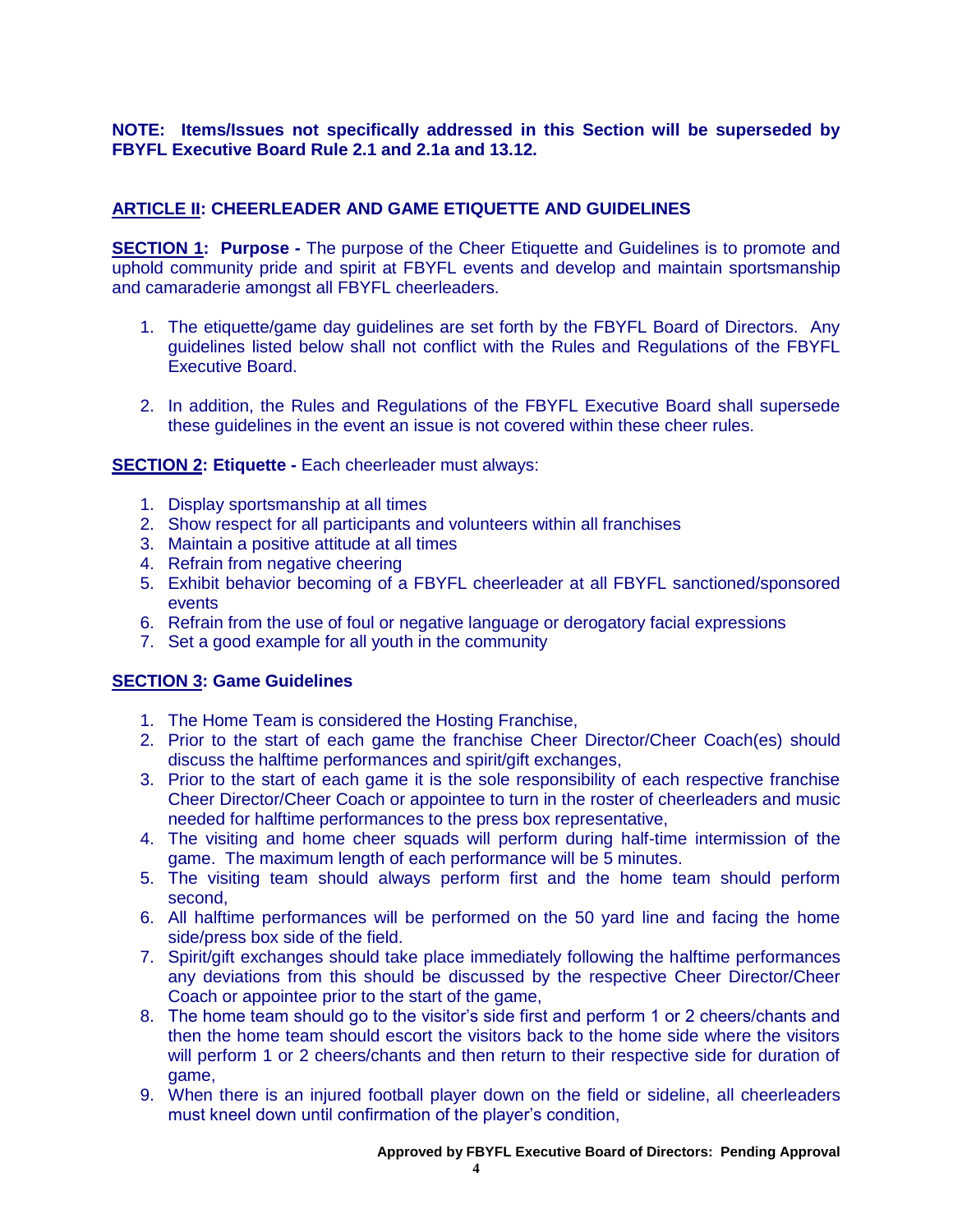# **NOTE: Items/Issues not specifically addressed in this Section will be superseded by FBYFL Executive Board Rule 2.1 and 2.1a and 13.12.**

# **ARTICLE II: CHEERLEADER AND GAME ETIQUETTE AND GUIDELINES**

**SECTION 1: Purpose -** The purpose of the Cheer Etiquette and Guidelines is to promote and uphold community pride and spirit at FBYFL events and develop and maintain sportsmanship and camaraderie amongst all FBYFL cheerleaders.

- 1. The etiquette/game day guidelines are set forth by the FBYFL Board of Directors. Any guidelines listed below shall not conflict with the Rules and Regulations of the FBYFL Executive Board.
- 2. In addition, the Rules and Regulations of the FBYFL Executive Board shall supersede these guidelines in the event an issue is not covered within these cheer rules.

### **SECTION 2: Etiquette -** Each cheerleader must always:

- 1. Display sportsmanship at all times
- 2. Show respect for all participants and volunteers within all franchises
- 3. Maintain a positive attitude at all times
- 4. Refrain from negative cheering
- 5. Exhibit behavior becoming of a FBYFL cheerleader at all FBYFL sanctioned/sponsored events
- 6. Refrain from the use of foul or negative language or derogatory facial expressions
- 7. Set a good example for all youth in the community

# **SECTION 3: Game Guidelines**

- 1. The Home Team is considered the Hosting Franchise,
- 2. Prior to the start of each game the franchise Cheer Director/Cheer Coach(es) should discuss the halftime performances and spirit/gift exchanges,
- 3. Prior to the start of each game it is the sole responsibility of each respective franchise Cheer Director/Cheer Coach or appointee to turn in the roster of cheerleaders and music needed for halftime performances to the press box representative,
- 4. The visiting and home cheer squads will perform during half-time intermission of the game. The maximum length of each performance will be 5 minutes.
- 5. The visiting team should always perform first and the home team should perform second,
- 6. All halftime performances will be performed on the 50 yard line and facing the home side/press box side of the field.
- 7. Spirit/gift exchanges should take place immediately following the halftime performances any deviations from this should be discussed by the respective Cheer Director/Cheer Coach or appointee prior to the start of the game,
- 8. The home team should go to the visitor's side first and perform 1 or 2 cheers/chants and then the home team should escort the visitors back to the home side where the visitors will perform 1 or 2 cheers/chants and then return to their respective side for duration of game,
- 9. When there is an injured football player down on the field or sideline, all cheerleaders must kneel down until confirmation of the player's condition,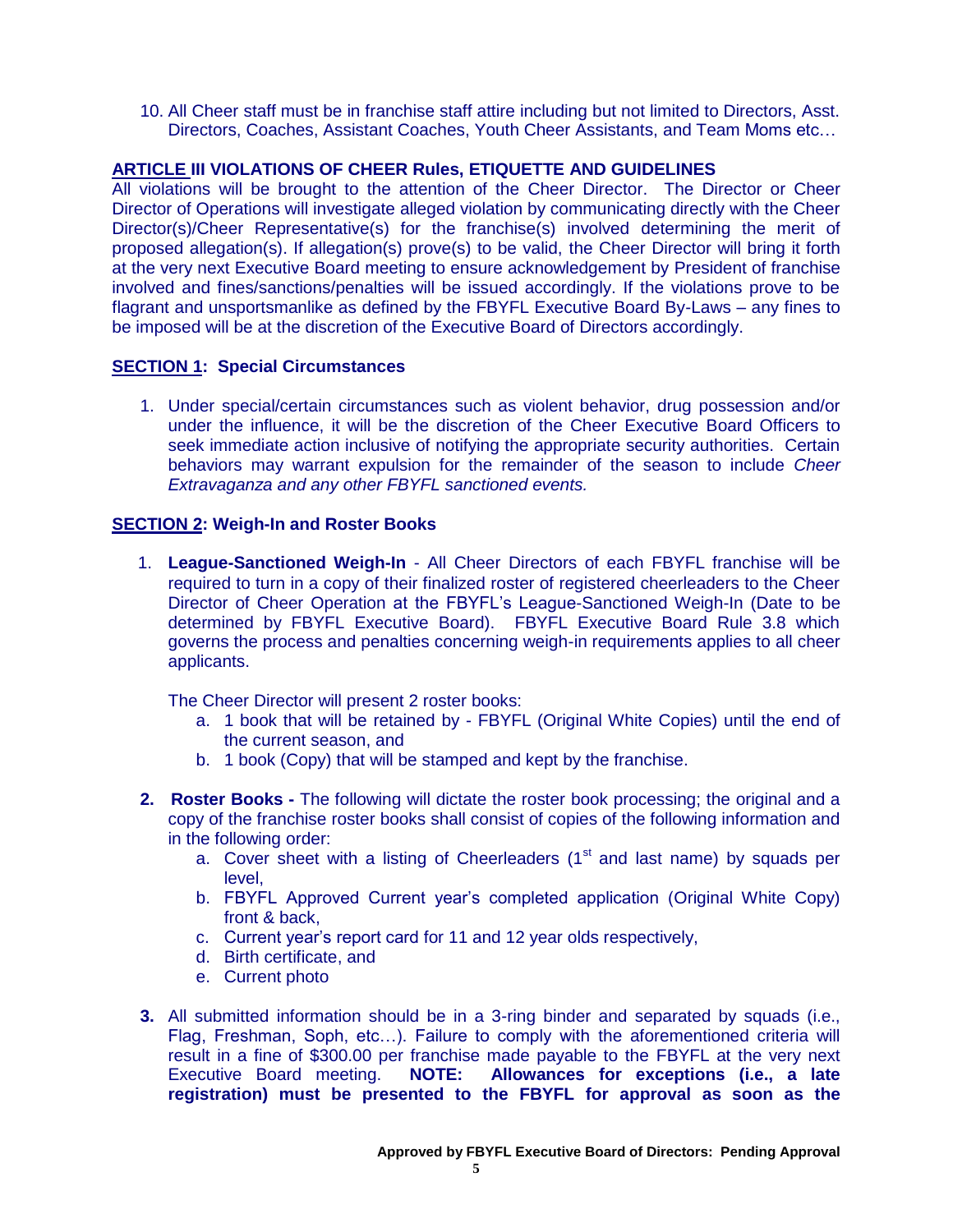10. All Cheer staff must be in franchise staff attire including but not limited to Directors, Asst. Directors, Coaches, Assistant Coaches, Youth Cheer Assistants, and Team Moms etc…

# **ARTICLE III VIOLATIONS OF CHEER Rules, ETIQUETTE AND GUIDELINES**

All violations will be brought to the attention of the Cheer Director. The Director or Cheer Director of Operations will investigate alleged violation by communicating directly with the Cheer Director(s)/Cheer Representative(s) for the franchise(s) involved determining the merit of proposed allegation(s). If allegation(s) prove(s) to be valid, the Cheer Director will bring it forth at the very next Executive Board meeting to ensure acknowledgement by President of franchise involved and fines/sanctions/penalties will be issued accordingly. If the violations prove to be flagrant and unsportsmanlike as defined by the FBYFL Executive Board By-Laws – any fines to be imposed will be at the discretion of the Executive Board of Directors accordingly.

### **SECTION 1: Special Circumstances**

1. Under special/certain circumstances such as violent behavior, drug possession and/or under the influence, it will be the discretion of the Cheer Executive Board Officers to seek immediate action inclusive of notifying the appropriate security authorities. Certain behaviors may warrant expulsion for the remainder of the season to include *Cheer Extravaganza and any other FBYFL sanctioned events.*

### **SECTION 2: Weigh-In and Roster Books**

1. **League-Sanctioned Weigh-In** - All Cheer Directors of each FBYFL franchise will be required to turn in a copy of their finalized roster of registered cheerleaders to the Cheer Director of Cheer Operation at the FBYFL's League-Sanctioned Weigh-In (Date to be determined by FBYFL Executive Board). FBYFL Executive Board Rule 3.8 which governs the process and penalties concerning weigh-in requirements applies to all cheer applicants.

The Cheer Director will present 2 roster books:

- a. 1 book that will be retained by FBYFL (Original White Copies) until the end of the current season, and
- b. 1 book (Copy) that will be stamped and kept by the franchise.
- **2. Roster Books -** The following will dictate the roster book processing; the original and a copy of the franchise roster books shall consist of copies of the following information and in the following order:
	- a. Cover sheet with a listing of Cheerleaders  $(1<sup>st</sup>$  and last name) by squads per level,
	- b. FBYFL Approved Current year's completed application (Original White Copy) front & back,
	- c. Current year's report card for 11 and 12 year olds respectively,
	- d. Birth certificate, and
	- e. Current photo
- **3.** All submitted information should be in a 3-ring binder and separated by squads (i.e., Flag, Freshman, Soph, etc…). Failure to comply with the aforementioned criteria will result in a fine of \$300.00 per franchise made payable to the FBYFL at the very next Executive Board meeting. **NOTE: Allowances for exceptions (i.e., a late registration) must be presented to the FBYFL for approval as soon as the**